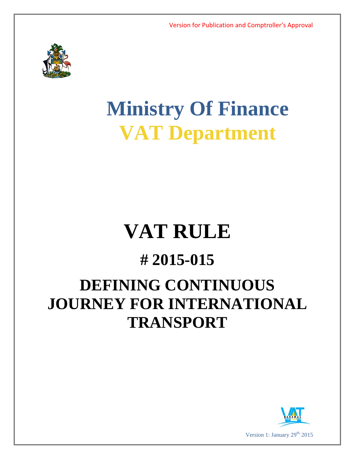

# **Ministry Of Finance VAT Department**

## **VAT RULE**

### **# 2015-015**

## **DEFINING CONTINUOUS JOURNEY FOR INTERNATIONAL TRANSPORT**

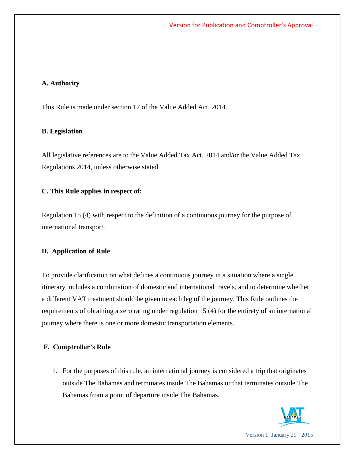#### **A. Authority**

This Rule is made under section 17 of the Value Added Act, 2014.

#### **B. Legislation**

All legislative references are to the Value Added Tax Act, 2014 and/or the Value Added Tax Regulations 2014, unless otherwise stated.

#### **C. This Rule applies in respect of:**

Regulation 15 (4) with respect to the definition of a continuous journey for the purpose of international transport.

#### **D. Application of Rule**

To provide clarification on what defines a continuous journey in a situation where a single itinerary includes a combination of domestic and international travels, and to determine whether a different VAT treatment should be given to each leg of the journey. This Rule outlines the requirements of obtaining a zero rating under regulation 15 (4) for the entirety of an international journey where there is one or more domestic transportation elements.

#### **F. Comptroller's Rule**

1. For the purposes of this rule, an international journey is considered a trip that originates outside The Bahamas and terminates inside The Bahamas or that terminates outside The Bahamas from a point of departure inside The Bahamas.